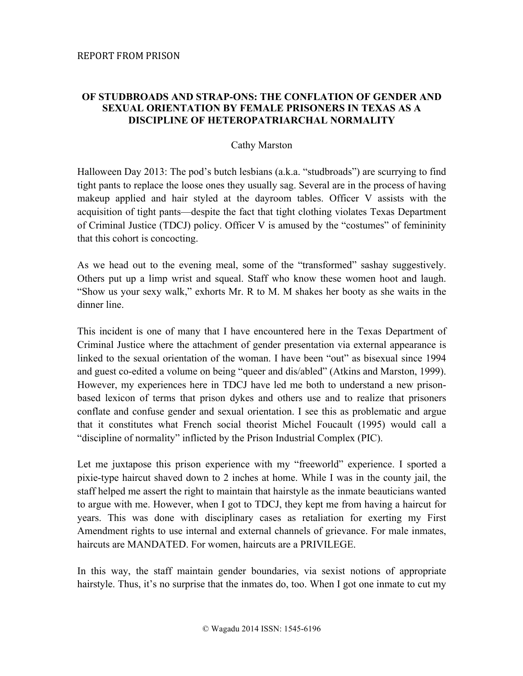## **OF STUDBROADS AND STRAP-ONS: THE CONFLATION OF GENDER AND SEXUAL ORIENTATION BY FEMALE PRISONERS IN TEXAS AS A DISCIPLINE OF HETEROPATRIARCHAL NORMALITY**

## Cathy Marston

Halloween Day 2013: The pod's butch lesbians (a.k.a. "studbroads") are scurrying to find tight pants to replace the loose ones they usually sag. Several are in the process of having makeup applied and hair styled at the dayroom tables. Officer V assists with the acquisition of tight pants—despite the fact that tight clothing violates Texas Department of Criminal Justice (TDCJ) policy. Officer V is amused by the "costumes" of femininity that this cohort is concocting.

As we head out to the evening meal, some of the "transformed" sashay suggestively. Others put up a limp wrist and squeal. Staff who know these women hoot and laugh. "Show us your sexy walk," exhorts Mr. R to M. M shakes her booty as she waits in the dinner line.

This incident is one of many that I have encountered here in the Texas Department of Criminal Justice where the attachment of gender presentation via external appearance is linked to the sexual orientation of the woman. I have been "out" as bisexual since 1994 and guest co-edited a volume on being "queer and dis/abled" (Atkins and Marston, 1999). However, my experiences here in TDCJ have led me both to understand a new prisonbased lexicon of terms that prison dykes and others use and to realize that prisoners conflate and confuse gender and sexual orientation. I see this as problematic and argue that it constitutes what French social theorist Michel Foucault (1995) would call a "discipline of normality" inflicted by the Prison Industrial Complex (PIC).

Let me juxtapose this prison experience with my "freeworld" experience. I sported a pixie-type haircut shaved down to 2 inches at home. While I was in the county jail, the staff helped me assert the right to maintain that hairstyle as the inmate beauticians wanted to argue with me. However, when I got to TDCJ, they kept me from having a haircut for years. This was done with disciplinary cases as retaliation for exerting my First Amendment rights to use internal and external channels of grievance. For male inmates, haircuts are MANDATED. For women, haircuts are a PRIVILEGE.

In this way, the staff maintain gender boundaries, via sexist notions of appropriate hairstyle. Thus, it's no surprise that the inmates do, too. When I got one inmate to cut my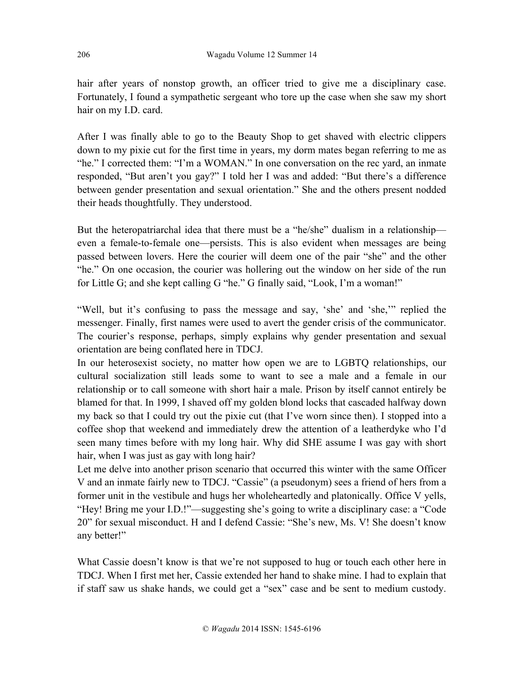hair after years of nonstop growth, an officer tried to give me a disciplinary case. Fortunately, I found a sympathetic sergeant who tore up the case when she saw my short hair on my I.D. card.

After I was finally able to go to the Beauty Shop to get shaved with electric clippers down to my pixie cut for the first time in years, my dorm mates began referring to me as "he." I corrected them: "I'm a WOMAN." In one conversation on the rec yard, an inmate responded, "But aren't you gay?" I told her I was and added: "But there's a difference between gender presentation and sexual orientation." She and the others present nodded their heads thoughtfully. They understood.

But the heteropatriarchal idea that there must be a "he/she" dualism in a relationship even a female-to-female one—persists. This is also evident when messages are being passed between lovers. Here the courier will deem one of the pair "she" and the other "he." On one occasion, the courier was hollering out the window on her side of the run for Little G; and she kept calling G "he." G finally said, "Look, I'm a woman!"

"Well, but it's confusing to pass the message and say, 'she' and 'she,'" replied the messenger. Finally, first names were used to avert the gender crisis of the communicator. The courier's response, perhaps, simply explains why gender presentation and sexual orientation are being conflated here in TDCJ.

In our heterosexist society, no matter how open we are to LGBTQ relationships, our cultural socialization still leads some to want to see a male and a female in our relationship or to call someone with short hair a male. Prison by itself cannot entirely be blamed for that. In 1999, I shaved off my golden blond locks that cascaded halfway down my back so that I could try out the pixie cut (that I've worn since then). I stopped into a coffee shop that weekend and immediately drew the attention of a leatherdyke who I'd seen many times before with my long hair. Why did SHE assume I was gay with short hair, when I was just as gay with long hair?

Let me delve into another prison scenario that occurred this winter with the same Officer V and an inmate fairly new to TDCJ. "Cassie" (a pseudonym) sees a friend of hers from a former unit in the vestibule and hugs her wholeheartedly and platonically. Office V yells, "Hey! Bring me your I.D.!"—suggesting she's going to write a disciplinary case: a "Code 20" for sexual misconduct. H and I defend Cassie: "She's new, Ms. V! She doesn't know any better!"

What Cassie doesn't know is that we're not supposed to hug or touch each other here in TDCJ. When I first met her, Cassie extended her hand to shake mine. I had to explain that if staff saw us shake hands, we could get a "sex" case and be sent to medium custody.